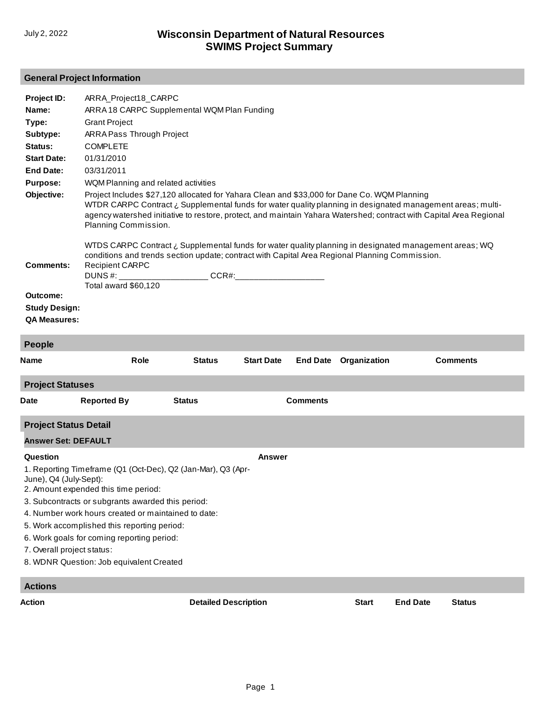# **General Project Information**

| Action                                                                                                                          |                                                                                                                                                                                                                                                                                                                                                                                                                                                                                                                                                                            | <b>Detailed Description</b> |                   |                 | <b>Start</b> | <b>End Date</b> | <b>Status</b>   |  |
|---------------------------------------------------------------------------------------------------------------------------------|----------------------------------------------------------------------------------------------------------------------------------------------------------------------------------------------------------------------------------------------------------------------------------------------------------------------------------------------------------------------------------------------------------------------------------------------------------------------------------------------------------------------------------------------------------------------------|-----------------------------|-------------------|-----------------|--------------|-----------------|-----------------|--|
| <b>Actions</b>                                                                                                                  |                                                                                                                                                                                                                                                                                                                                                                                                                                                                                                                                                                            |                             |                   |                 |              |                 |                 |  |
| Question<br>June), Q4 (July-Sept):<br>7. Overall project status:                                                                | 1. Reporting Timeframe (Q1 (Oct-Dec), Q2 (Jan-Mar), Q3 (Apr-<br>2. Amount expended this time period:<br>3. Subcontracts or subgrants awarded this period:<br>4. Number work hours created or maintained to date:<br>5. Work accomplished this reporting period:<br>6. Work goals for coming reporting period:<br>8. WDNR Question: Job equivalent Created                                                                                                                                                                                                                  |                             | <b>Answer</b>     |                 |              |                 |                 |  |
| <b>Answer Set: DEFAULT</b>                                                                                                      |                                                                                                                                                                                                                                                                                                                                                                                                                                                                                                                                                                            |                             |                   |                 |              |                 |                 |  |
| <b>Project Status Detail</b>                                                                                                    |                                                                                                                                                                                                                                                                                                                                                                                                                                                                                                                                                                            |                             |                   |                 |              |                 |                 |  |
| Date                                                                                                                            | <b>Reported By</b>                                                                                                                                                                                                                                                                                                                                                                                                                                                                                                                                                         | <b>Status</b>               |                   | <b>Comments</b> |              |                 |                 |  |
| <b>Project Statuses</b>                                                                                                         |                                                                                                                                                                                                                                                                                                                                                                                                                                                                                                                                                                            |                             |                   |                 |              |                 |                 |  |
| People<br>Name                                                                                                                  | <b>Role</b>                                                                                                                                                                                                                                                                                                                                                                                                                                                                                                                                                                | <b>Status</b>               | <b>Start Date</b> | <b>End Date</b> | Organization |                 | <b>Comments</b> |  |
| Outcome:<br><b>Study Design:</b><br><b>QA Measures:</b>                                                                         | Total award \$60,120                                                                                                                                                                                                                                                                                                                                                                                                                                                                                                                                                       |                             |                   |                 |              |                 |                 |  |
| <b>Comments:</b>                                                                                                                | WTDS CARPC Contract is Supplemental funds for water quality planning in designated management areas; WQ<br>conditions and trends section update; contract with Capital Area Regional Planning Commission.<br><b>Recipient CARPC</b><br>DUNS #: __________                                                                                                                                                                                                                                                                                                                  |                             | $CCR#$ :          |                 |              |                 |                 |  |
| Project ID:<br>Name:<br>Type:<br>Subtype:<br>Status:<br><b>Start Date:</b><br><b>End Date:</b><br><b>Purpose:</b><br>Objective: | ARRA_Project18_CARPC<br>ARRA 18 CARPC Supplemental WQM Plan Funding<br><b>Grant Project</b><br>ARRA Pass Through Project<br><b>COMPLETE</b><br>01/31/2010<br>03/31/2011<br>WQM Planning and related activities<br>Project Includes \$27,120 allocated for Yahara Clean and \$33,000 for Dane Co. WQM Planning<br>WTDR CARPC Contract ¿ Supplemental funds for water quality planning in designated management areas; multi-<br>agency watershed initiative to restore, protect, and maintain Yahara Watershed; contract with Capital Area Regional<br>Planning Commission. |                             |                   |                 |              |                 |                 |  |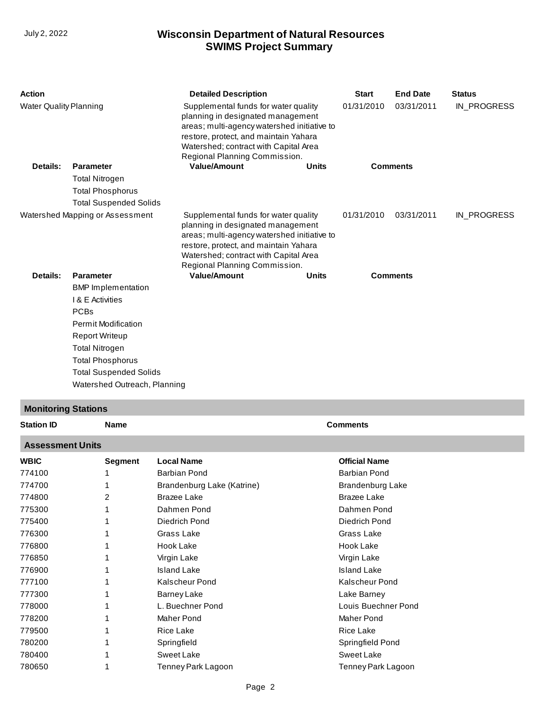| Action                        |                                 | <b>Detailed Description</b>                                                                                                                                                                                                                 |              | <b>Start</b> | <b>End Date</b> | <b>Status</b> |
|-------------------------------|---------------------------------|---------------------------------------------------------------------------------------------------------------------------------------------------------------------------------------------------------------------------------------------|--------------|--------------|-----------------|---------------|
| <b>Water Quality Planning</b> |                                 | Supplemental funds for water quality<br>planning in designated management<br>areas; multi-agency watershed initiative to<br>restore, protect, and maintain Yahara<br>Watershed; contract with Capital Area<br>Regional Planning Commission. |              | 01/31/2010   | 03/31/2011      | IN_PROGRESS   |
| Details:                      | <b>Parameter</b>                | <b>Value/Amount</b>                                                                                                                                                                                                                         | <b>Units</b> |              | <b>Comments</b> |               |
|                               | <b>Total Nitrogen</b>           |                                                                                                                                                                                                                                             |              |              |                 |               |
|                               | <b>Total Phosphorus</b>         |                                                                                                                                                                                                                                             |              |              |                 |               |
|                               | <b>Total Suspended Solids</b>   |                                                                                                                                                                                                                                             |              |              |                 |               |
|                               | Watershed Mapping or Assessment | Supplemental funds for water quality<br>planning in designated management<br>areas; multi-agency watershed initiative to<br>restore, protect, and maintain Yahara<br>Watershed; contract with Capital Area<br>Regional Planning Commission. |              | 01/31/2010   | 03/31/2011      | IN_PROGRESS   |
| Details:                      | <b>Parameter</b>                | <b>Value/Amount</b>                                                                                                                                                                                                                         | <b>Units</b> |              | <b>Comments</b> |               |
|                               | <b>BMP</b> Implementation       |                                                                                                                                                                                                                                             |              |              |                 |               |
|                               | <b>I &amp; E Activities</b>     |                                                                                                                                                                                                                                             |              |              |                 |               |
|                               | <b>PCBs</b>                     |                                                                                                                                                                                                                                             |              |              |                 |               |
|                               | <b>Permit Modification</b>      |                                                                                                                                                                                                                                             |              |              |                 |               |
|                               | <b>Report Writeup</b>           |                                                                                                                                                                                                                                             |              |              |                 |               |
|                               | <b>Total Nitrogen</b>           |                                                                                                                                                                                                                                             |              |              |                 |               |
|                               | <b>Total Phosphorus</b>         |                                                                                                                                                                                                                                             |              |              |                 |               |
|                               | <b>Total Suspended Solids</b>   |                                                                                                                                                                                                                                             |              |              |                 |               |
|                               | Watershed Outreach, Planning    |                                                                                                                                                                                                                                             |              |              |                 |               |
|                               |                                 |                                                                                                                                                                                                                                             |              |              |                 |               |

#### **Monitoring Stations**

**Station ID Name Comments Assessment Units WBIC Segment Local Name Official Name** 774100 774700 774800 775300 775400 776300 776800 776850 776900 777100 777300 778000 778200 779500 780200 780400 780650 1 1 2 1 1 1 1 1 1 1 1 1 1 1 1 1 1 [Barbian Pond](http://prodoasint.dnr.wi.gov/wadrs/viewUnit.do?id=11680) [Brandenburg Lake \(Katrine\)](http://prodoasint.dnr.wi.gov/wadrs/viewUnit.do?id=11681) Brazee Lake Dahmen Pond [Diedrich Pond](http://prodoasint.dnr.wi.gov/wadrs/viewUnit.do?id=11683) Grass Lake Hook Lake Virgin Lake Island Lake [Kalscheur Pond](http://prodoasint.dnr.wi.gov/wadrs/viewUnit.do?id=11684) [Barney Lake](http://prodoasint.dnr.wi.gov/wadrs/viewUnit.do?id=11651) L. Buechner Pond [Maher Pond](http://prodoasint.dnr.wi.gov/wadrs/viewUnit.do?id=26730) Rice Lake Springfield Sweet Lake [Tenney Park Lagoon](http://prodoasint.dnr.wi.gov/wadrs/viewUnit.do?id=11687) Barbian Pond Brandenburg Lake [Brazee Lake](http://prodoasint.dnr.wi.gov/wadrs/viewUnit.do?id=6858966) [Dahmen Pond](http://prodoasint.dnr.wi.gov/wadrs/viewUnit.do?id=11682) Diedrich Pond [Grass Lake](http://prodoasint.dnr.wi.gov/wadrs/viewUnit.do?id=11649) [Hook Lake](http://prodoasint.dnr.wi.gov/wadrs/viewUnit.do?id=18252) [Virgin Lake](http://prodoasint.dnr.wi.gov/wadrs/viewUnit.do?id=11637) [Island Lake](http://prodoasint.dnr.wi.gov/wadrs/viewUnit.do?id=11650) Kalscheur Pond Lake Barney [Louis Buechner Pond](http://prodoasint.dnr.wi.gov/wadrs/viewUnit.do?id=11685) Maher Pond [Rice Lake](http://prodoasint.dnr.wi.gov/wadrs/viewUnit.do?id=11703) [Springfield Pond](http://prodoasint.dnr.wi.gov/wadrs/viewUnit.do?id=11686) [Sweet Lake](http://prodoasint.dnr.wi.gov/wadrs/viewUnit.do?id=11706) Tenney Park Lagoon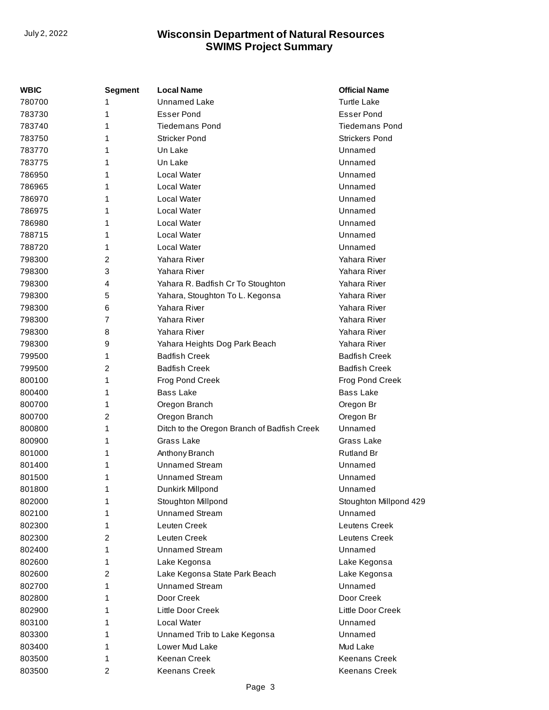| WBIC   | <b>Segment</b> | <b>Local Name</b>                           | <b>Official Name</b>   |
|--------|----------------|---------------------------------------------|------------------------|
| 780700 | 1              | <b>Unnamed Lake</b>                         | <b>Turtle Lake</b>     |
| 783730 | 1              | <b>Esser Pond</b>                           | <b>Esser Pond</b>      |
| 783740 | 1              | <b>Tiedemans Pond</b>                       | <b>Tiedemans Pond</b>  |
| 783750 | 1              | <b>Stricker Pond</b>                        | <b>Strickers Pond</b>  |
| 783770 | 1              | Un Lake                                     | Unnamed                |
| 783775 | 1              | Un Lake                                     | Unnamed                |
| 786950 | 1              | Local Water                                 | Unnamed                |
| 786965 | 1              | Local Water                                 | Unnamed                |
| 786970 | 1              | Local Water                                 | Unnamed                |
| 786975 | 1              | Local Water                                 | Unnamed                |
| 786980 | 1              | Local Water                                 | Unnamed                |
| 788715 | 1              | Local Water                                 | Unnamed                |
| 788720 | 1              | Local Water                                 | Unnamed                |
| 798300 | 2              | Yahara River                                | Yahara River           |
| 798300 | 3              | Yahara River                                | Yahara River           |
| 798300 | 4              | Yahara R. Badfish Cr To Stoughton           | Yahara River           |
| 798300 | 5              | Yahara, Stoughton To L. Kegonsa             | Yahara River           |
| 798300 | 6              | Yahara River                                | Yahara River           |
| 798300 | 7              | Yahara River                                | Yahara River           |
| 798300 | 8              | Yahara River                                | Yahara River           |
| 798300 | 9              | Yahara Heights Dog Park Beach               | Yahara River           |
| 799500 | 1              | <b>Badfish Creek</b>                        | <b>Badfish Creek</b>   |
| 799500 | 2              | <b>Badfish Creek</b>                        | <b>Badfish Creek</b>   |
| 800100 | 1              | Frog Pond Creek                             | Frog Pond Creek        |
| 800400 | 1              | Bass Lake                                   | <b>Bass Lake</b>       |
| 800700 | 1              | Oregon Branch                               | Oregon Br              |
| 800700 | $\overline{c}$ | Oregon Branch                               | Oregon Br              |
| 800800 | 1              | Ditch to the Oregon Branch of Badfish Creek | Unnamed                |
| 800900 | 1              | Grass Lake                                  | Grass Lake             |
| 801000 | 1              | Anthony Branch                              | <b>Rutland Br</b>      |
| 801400 | 1              | <b>Unnamed Stream</b>                       | Unnamed                |
| 801500 | 1              | <b>Unnamed Stream</b>                       | Unnamed                |
| 801800 | 1              | Dunkirk Millpond                            | Unnamed                |
| 802000 | 1              | Stoughton Millpond                          | Stoughton Millpond 429 |
| 802100 | 1              | <b>Unnamed Stream</b>                       | Unnamed                |
| 802300 | 1              | Leuten Creek                                | Leutens Creek          |
| 802300 | 2              | Leuten Creek                                | Leutens Creek          |
| 802400 | 1              | <b>Unnamed Stream</b>                       | Unnamed                |
| 802600 | 1              | Lake Kegonsa                                | Lake Kegonsa           |
| 802600 | 2              | Lake Kegonsa State Park Beach               | Lake Kegonsa           |
| 802700 | 1              | <b>Unnamed Stream</b>                       | Unnamed                |
| 802800 | 1              | Door Creek                                  | Door Creek             |
| 802900 | 1              | Little Door Creek                           | Little Door Creek      |
| 803100 | 1              | Local Water                                 | Unnamed                |
| 803300 | 1              | Unnamed Trib to Lake Kegonsa                | Unnamed                |
| 803400 | 1              | Lower Mud Lake                              | Mud Lake               |
| 803500 | 1              | Keenan Creek                                | <b>Keenans Creek</b>   |
| 803500 | 2              | <b>Keenans Creek</b>                        | Keenans Creek          |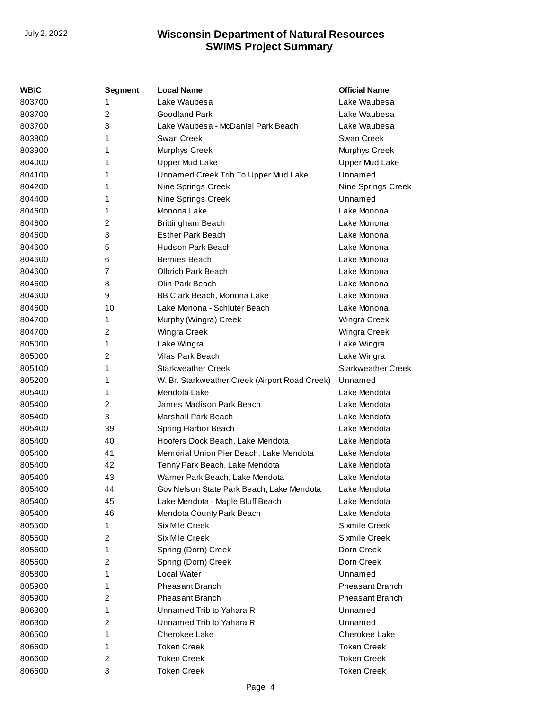| <b>WBIC</b> | Segment | <b>Local Name</b>                              | <b>Official Name</b>      |
|-------------|---------|------------------------------------------------|---------------------------|
| 803700      | 1       | Lake Waubesa                                   | Lake Waubesa              |
| 803700      | 2       | Goodland Park                                  | Lake Waubesa              |
| 803700      | 3       | Lake Waubesa - McDaniel Park Beach             | Lake Waubesa              |
| 803800      | 1       | Swan Creek                                     | Swan Creek                |
| 803900      | 1       | Murphys Creek                                  | Murphys Creek             |
| 804000      | 1       | <b>Upper Mud Lake</b>                          | Upper Mud Lake            |
| 804100      | 1       | Unnamed Creek Trib To Upper Mud Lake           | Unnamed                   |
| 804200      | 1       | Nine Springs Creek                             | Nine Springs Creek        |
| 804400      | 1       | Nine Springs Creek                             | Unnamed                   |
| 804600      | 1       | Monona Lake                                    | Lake Monona               |
| 804600      | 2       | Brittingham Beach                              | Lake Monona               |
| 804600      | 3       | <b>Esther Park Beach</b>                       | Lake Monona               |
| 804600      | 5       | Hudson Park Beach                              | Lake Monona               |
| 804600      | 6       | Bernies Beach                                  | Lake Monona               |
| 804600      | 7       | Olbrich Park Beach                             | Lake Monona               |
| 804600      | 8       | Olin Park Beach                                | Lake Monona               |
| 804600      | 9       | BB Clark Beach, Monona Lake                    | Lake Monona               |
| 804600      | 10      | Lake Monona - Schluter Beach                   | Lake Monona               |
| 804700      | 1       | Murphy (Wingra) Creek                          | Wingra Creek              |
| 804700      | 2       | Wingra Creek                                   | Wingra Creek              |
| 805000      | 1       | Lake Wingra                                    | Lake Wingra               |
| 805000      | 2       | Vilas Park Beach                               | Lake Wingra               |
| 805100      | 1       | <b>Starkweather Creek</b>                      | <b>Starkweather Creek</b> |
| 805200      | 1       | W. Br. Starkweather Creek (Airport Road Creek) | Unnamed                   |
| 805400      | 1       | Mendota Lake                                   | Lake Mendota              |
| 805400      | 2       | James Madison Park Beach                       | Lake Mendota              |
| 805400      | 3       | Marshall Park Beach                            | Lake Mendota              |
| 805400      | 39      | Spring Harbor Beach                            | Lake Mendota              |
| 805400      | 40      | Hoofers Dock Beach, Lake Mendota               | Lake Mendota              |
| 805400      | 41      | Memorial Union Pier Beach, Lake Mendota        | Lake Mendota              |
| 805400      | 42      | Tenny Park Beach, Lake Mendota                 | Lake Mendota              |
| 805400      | 43      | Warner Park Beach, Lake Mendota                | Lake Mendota              |
| 805400      | 44      | Gov Nelson State Park Beach, Lake Mendota      | Lake Mendota              |
| 805400      | 45      | Lake Mendota - Maple Bluff Beach               | Lake Mendota              |
| 805400      | 46      | Mendota County Park Beach                      | Lake Mendota              |
| 805500      | 1       | Six Mile Creek                                 | Sixmile Creek             |
| 805500      | 2       | Six Mile Creek                                 | Sixmile Creek             |
| 805600      | 1       | Spring (Dorn) Creek                            | Dorn Creek                |
| 805600      | 2       | Spring (Dorn) Creek                            | Dorn Creek                |
| 805800      | 1       | Local Water                                    | Unnamed                   |
| 805900      | 1       | <b>Pheasant Branch</b>                         | <b>Pheasant Branch</b>    |
| 805900      | 2       | <b>Pheasant Branch</b>                         | <b>Pheasant Branch</b>    |
| 806300      | 1       | Unnamed Trib to Yahara R                       | Unnamed                   |
| 806300      | 2       | Unnamed Trib to Yahara R                       | Unnamed                   |
| 806500      | 1       | Cherokee Lake                                  | Cherokee Lake             |
| 806600      | 1       | <b>Token Creek</b>                             | <b>Token Creek</b>        |
| 806600      | 2       | <b>Token Creek</b>                             | <b>Token Creek</b>        |
| 806600      | 3       | <b>Token Creek</b>                             | <b>Token Creek</b>        |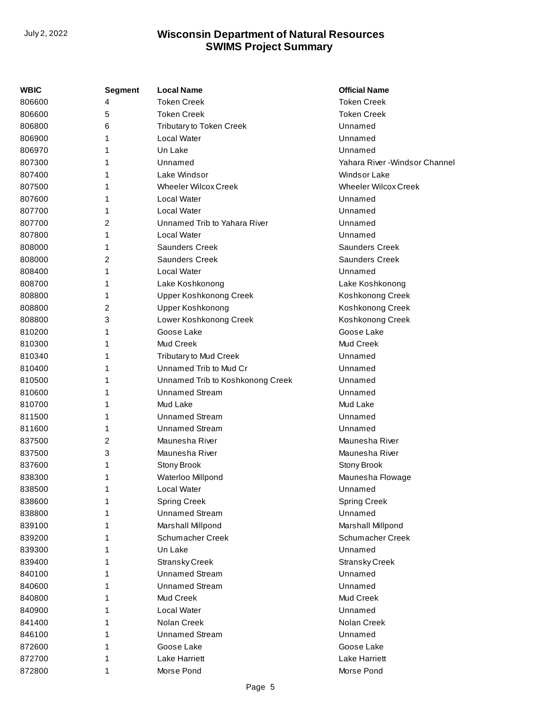| <b>WBIC</b> | <b>Segment</b> | <b>Local Name</b>                | <b>Official Name</b>           |
|-------------|----------------|----------------------------------|--------------------------------|
| 806600      |                | <b>Token Creek</b>               | <b>Token Creek</b>             |
| 806600      | 5              | <b>Token Creek</b>               | <b>Token Creek</b>             |
| 806800      | 6              | Tributary to Token Creek         | Unnamed                        |
| 806900      | 1              | Local Water                      | Unnamed                        |
| 806970      | 1              | Un Lake                          | Unnamed                        |
| 807300      | 1              | Unnamed                          | Yahara River - Windsor Channel |
| 807400      | 1              | Lake Windsor                     | <b>Windsor Lake</b>            |
| 807500      | 1              | <b>Wheeler Wilcox Creek</b>      | <b>Wheeler Wilcox Creek</b>    |
| 807600      | 1              | Local Water                      | Unnamed                        |
| 807700      | 1              | Local Water                      | Unnamed                        |
| 807700      | 2              | Unnamed Trib to Yahara River     | Unnamed                        |
| 807800      | 1              | Local Water                      | Unnamed                        |
| 808000      | 1              | <b>Saunders Creek</b>            | Saunders Creek                 |
| 808000      | 2              | <b>Saunders Creek</b>            | Saunders Creek                 |
| 808400      | 1              | Local Water                      | Unnamed                        |
| 808700      | 1              | Lake Koshkonong                  | Lake Koshkonong                |
| 808800      | 1              | Upper Koshkonong Creek           | Koshkonong Creek               |
| 808800      | 2              | <b>Upper Koshkonong</b>          | Koshkonong Creek               |
| 808800      | 3              | Lower Koshkonong Creek           | Koshkonong Creek               |
| 810200      | 1              | Goose Lake                       | Goose Lake                     |
| 810300      | 1              | Mud Creek                        | Mud Creek                      |
| 810340      | 1              | <b>Tributary to Mud Creek</b>    | Unnamed                        |
| 810400      | 1              | Unnamed Trib to Mud Cr           | Unnamed                        |
| 810500      | 1              | Unnamed Trib to Koshkonong Creek | Unnamed                        |
| 810600      | 1              | Unnamed Stream                   | Unnamed                        |
| 810700      | 1              | Mud Lake                         | Mud Lake                       |
| 811500      | 1              | <b>Unnamed Stream</b>            | Unnamed                        |
| 811600      | 1              | <b>Unnamed Stream</b>            | Unnamed                        |
| 837500      | 2              | Maunesha River                   | Maunesha River                 |
| 837500      | 3              | Maunesha River                   | Maunesha River                 |
| 837600      | 1              | Stony Brook                      | Stony Brook                    |
| 838300      | 1              | Waterloo Millpond                | Maunesha Flowage               |
| 838500      | 1              | Local Water                      | Unnamed                        |
| 838600      | 1              | <b>Spring Creek</b>              | <b>Spring Creek</b>            |
| 838800      |                | <b>Unnamed Stream</b>            | Unnamed                        |
| 839100      |                | Marshall Millpond                | Marshall Millpond              |
| 839200      |                | Schumacher Creek                 | <b>Schumacher Creek</b>        |
| 839300      | 1              | Un Lake                          | Unnamed                        |
| 839400      | 1              | <b>Stransky Creek</b>            | <b>Stransky Creek</b>          |
| 840100      | 1              | <b>Unnamed Stream</b>            | Unnamed                        |
| 840600      | 1              | <b>Unnamed Stream</b>            | Unnamed                        |
| 840800      | 1              | Mud Creek                        | Mud Creek                      |
| 840900      | 1              | Local Water                      | Unnamed                        |
| 841400      |                | Nolan Creek                      | Nolan Creek                    |
| 846100      |                | <b>Unnamed Stream</b>            | Unnamed                        |
| 872600      | 1              | Goose Lake                       | Goose Lake                     |
| 872700      | 1              | Lake Harriett                    | Lake Harriett                  |
| 872800      | 1              | Morse Pond                       | Morse Pond                     |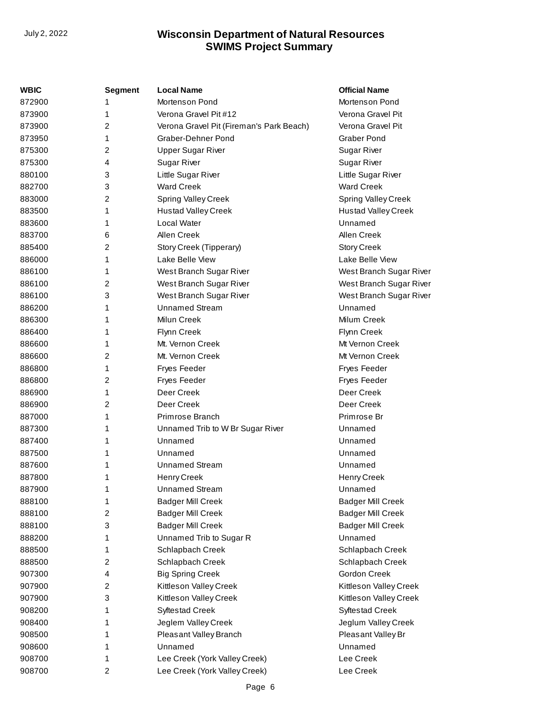| <b>WBIC</b> | Segment          | <b>Local Name</b>                        | <b>Official Name</b>       |
|-------------|------------------|------------------------------------------|----------------------------|
| 872900      | 1                | <b>Mortenson Pond</b>                    | Mortenson Pond             |
| 873900      | 1                | Verona Gravel Pit #12                    | Verona Gravel Pit          |
| 873900      | $\overline{c}$   | Verona Gravel Pit (Fireman's Park Beach) | Verona Gravel Pit          |
| 873950      | 1                | Graber-Dehner Pond                       | <b>Graber Pond</b>         |
| 875300      | 2                | <b>Upper Sugar River</b>                 | <b>Sugar River</b>         |
| 875300      | 4                | <b>Sugar River</b>                       | Sugar River                |
| 880100      | 3                | Little Sugar River                       | Little Sugar River         |
| 882700      | 3                | <b>Ward Creek</b>                        | <b>Ward Creek</b>          |
| 883000      | 2                | <b>Spring Valley Creek</b>               | <b>Spring Valley Creek</b> |
| 883500      | 1                | <b>Hustad Valley Creek</b>               | <b>Hustad Valley Creek</b> |
| 883600      | 1                | <b>Local Water</b>                       | Unnamed                    |
| 883700      | 6                | Allen Creek                              | Allen Creek                |
| 885400      | $\overline{c}$   | Story Creek (Tipperary)                  | <b>Story Creek</b>         |
| 886000      | 1                | Lake Belle View                          | Lake Belle View            |
| 886100      | 1                | West Branch Sugar River                  | West Branch Sugar River    |
| 886100      | 2                | West Branch Sugar River                  | West Branch Sugar River    |
| 886100      | 3                | West Branch Sugar River                  | West Branch Sugar River    |
| 886200      | 1                | <b>Unnamed Stream</b>                    | Unnamed                    |
| 886300      | 1                | Milun Creek                              | Milum Creek                |
| 886400      | 1                | Flynn Creek                              | Flynn Creek                |
| 886600      | 1                | Mt. Vernon Creek                         | Mt Vernon Creek            |
| 886600      | 2                | Mt. Vernon Creek                         | Mt Vernon Creek            |
| 886800      | 1                | <b>Fryes Feeder</b>                      | Fryes Feeder               |
| 886800      | 2                | <b>Fryes Feeder</b>                      | <b>Fryes Feeder</b>        |
| 886900      | 1                | Deer Creek                               | Deer Creek                 |
| 886900      | 2                | Deer Creek                               | Deer Creek                 |
| 887000      | 1                | Primrose Branch                          | Primrose Br                |
| 887300      | 1                | Unnamed Trib to W Br Sugar River         | Unnamed                    |
| 887400      | 1                | Unnamed                                  | Unnamed                    |
| 887500      | 1                | Unnamed                                  | Unnamed                    |
| 887600      | 1                | <b>Unnamed Stream</b>                    | Unnamed                    |
| 887800      | 1                | Henry Creek                              | Henry Creek                |
| 887900      | 1                | <b>Unnamed Stream</b>                    | Unnamed                    |
| 888100      | 1                | <b>Badger Mill Creek</b>                 | <b>Badger Mill Creek</b>   |
| 888100      | $\overline{c}$   | <b>Badger Mill Creek</b>                 | <b>Badger Mill Creek</b>   |
| 888100      | 3                | <b>Badger Mill Creek</b>                 | <b>Badger Mill Creek</b>   |
| 888200      | 1                | Unnamed Trib to Sugar R                  | Unnamed                    |
| 888500      | 1                | Schlapbach Creek                         | Schlapbach Creek           |
| 888500      | $\overline{c}$   | Schlapbach Creek                         | Schlapbach Creek           |
| 907300      | 4                | <b>Big Spring Creek</b>                  | Gordon Creek               |
| 907900      | $\boldsymbol{2}$ | Kittleson Valley Creek                   | Kittleson Valley Creek     |
| 907900      | 3                | Kittleson Valley Creek                   | Kittleson Valley Creek     |
| 908200      | 1                | <b>Syftestad Creek</b>                   | <b>Syftestad Creek</b>     |
| 908400      | 1                | Jeglem Valley Creek                      | Jeglum Valley Creek        |
| 908500      | 1                | Pleasant Valley Branch                   | Pleasant Valley Br         |
| 908600      | 1                | Unnamed                                  | Unnamed                    |
| 908700      | 1                | Lee Creek (York Valley Creek)            | Lee Creek                  |
| 908700      | 2                | Lee Creek (York Valley Creek)            | Lee Creek                  |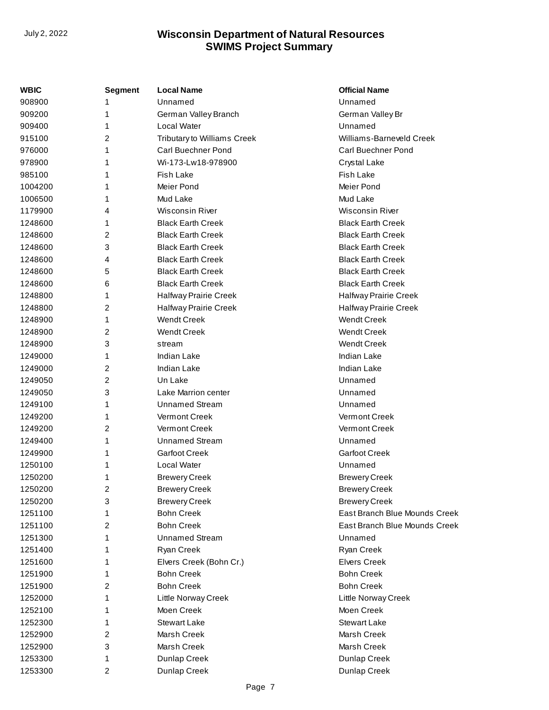| WBIC    | Segment | <b>Local Name</b>           | <b>Official Name</b>          |
|---------|---------|-----------------------------|-------------------------------|
| 908900  | 1       | Unnamed                     | Unnamed                       |
| 909200  | 1       | German Valley Branch        | German Valley Br              |
| 909400  | 1       | Local Water                 | Unnamed                       |
| 915100  | 2       | Tributary to Williams Creek | Williams-Barneveld Creek      |
| 976000  | 1       | <b>Carl Buechner Pond</b>   | Carl Buechner Pond            |
| 978900  | 1       | Wi-173-Lw18-978900          | Crystal Lake                  |
| 985100  | 1       | Fish Lake                   | <b>Fish Lake</b>              |
| 1004200 | 1       | Meier Pond                  | Meier Pond                    |
| 1006500 | 1       | Mud Lake                    | Mud Lake                      |
| 1179900 | 4       | <b>Wisconsin River</b>      | <b>Wisconsin River</b>        |
| 1248600 | 1       | <b>Black Earth Creek</b>    | <b>Black Earth Creek</b>      |
| 1248600 | 2       | <b>Black Earth Creek</b>    | <b>Black Earth Creek</b>      |
| 1248600 | 3       | <b>Black Earth Creek</b>    | <b>Black Earth Creek</b>      |
| 1248600 | 4       | <b>Black Earth Creek</b>    | <b>Black Earth Creek</b>      |
| 1248600 | 5       | <b>Black Earth Creek</b>    | <b>Black Earth Creek</b>      |
| 1248600 | 6       | <b>Black Earth Creek</b>    | <b>Black Earth Creek</b>      |
| 1248800 | 1       | Halfway Prairie Creek       | Halfway Prairie Creek         |
| 1248800 | 2       | Halfway Prairie Creek       | Halfway Prairie Creek         |
| 1248900 | 1       | <b>Wendt Creek</b>          | <b>Wendt Creek</b>            |
| 1248900 | 2       | <b>Wendt Creek</b>          | <b>Wendt Creek</b>            |
| 1248900 | 3       | stream                      | <b>Wendt Creek</b>            |
| 1249000 | 1       | <b>Indian Lake</b>          | <b>Indian Lake</b>            |
| 1249000 | 2       | <b>Indian Lake</b>          | Indian Lake                   |
| 1249050 | 2       | Un Lake                     | Unnamed                       |
| 1249050 | 3       | Lake Marrion center         | Unnamed                       |
| 1249100 | 1       | <b>Unnamed Stream</b>       | Unnamed                       |
| 1249200 | 1       | Vermont Creek               | <b>Vermont Creek</b>          |
| 1249200 | 2       | Vermont Creek               | Vermont Creek                 |
| 1249400 | 1       | <b>Unnamed Stream</b>       | Unnamed                       |
| 1249900 | 1       | <b>Garfoot Creek</b>        | <b>Garfoot Creek</b>          |
| 1250100 | 1       | Local Water                 | Unnamed                       |
| 1250200 | 1       | <b>Brewery Creek</b>        | <b>Brewery Creek</b>          |
| 1250200 | 2       | <b>Brewery Creek</b>        | <b>Brewery Creek</b>          |
| 1250200 | 3       | <b>Brewery Creek</b>        | <b>Brewery Creek</b>          |
| 1251100 | 1       | <b>Bohn Creek</b>           | East Branch Blue Mounds Creek |
| 1251100 | 2       | <b>Bohn Creek</b>           | East Branch Blue Mounds Creek |
| 1251300 | 1       | <b>Unnamed Stream</b>       | Unnamed                       |
| 1251400 | 1       | Ryan Creek                  | Ryan Creek                    |
| 1251600 | 1       | Elvers Creek (Bohn Cr.)     | <b>Elvers Creek</b>           |
| 1251900 | 1       | <b>Bohn Creek</b>           | <b>Bohn Creek</b>             |
| 1251900 | 2       | <b>Bohn Creek</b>           | <b>Bohn Creek</b>             |
| 1252000 | 1       | Little Norway Creek         | Little Norway Creek           |
| 1252100 | 1       | Moen Creek                  | Moen Creek                    |
| 1252300 | 1       | <b>Stewart Lake</b>         | <b>Stewart Lake</b>           |
| 1252900 | 2       | Marsh Creek                 | Marsh Creek                   |
| 1252900 | 3       | Marsh Creek                 | Marsh Creek                   |
| 1253300 | 1       | Dunlap Creek                | Dunlap Creek                  |
| 1253300 | 2       | Dunlap Creek                | Dunlap Creek                  |
|         |         |                             |                               |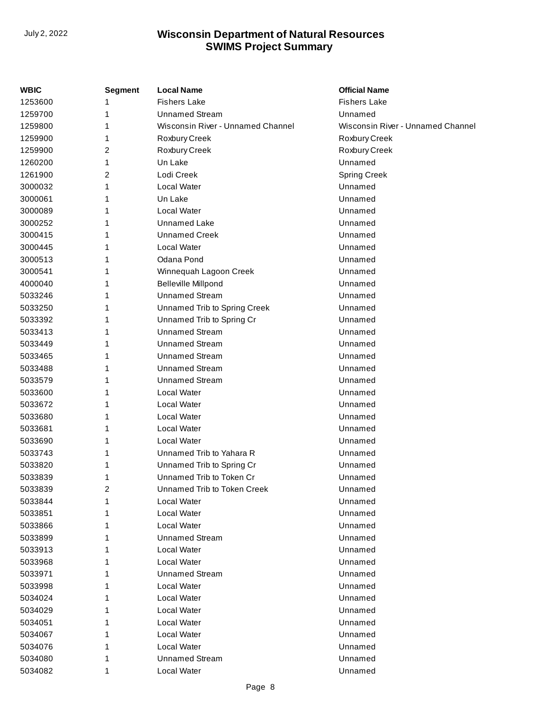| WBIC    | <b>Segment</b> | <b>Local Name</b>                 | <b>Official Name</b>              |
|---------|----------------|-----------------------------------|-----------------------------------|
| 1253600 |                | <b>Fishers Lake</b>               | <b>Fishers Lake</b>               |
| 1259700 | 1              | <b>Unnamed Stream</b>             | Unnamed                           |
| 1259800 |                | Wisconsin River - Unnamed Channel | Wisconsin River - Unnamed Channel |
| 1259900 | 1              | Roxbury Creek                     | Roxbury Creek                     |
| 1259900 | 2              | Roxbury Creek                     | Roxbury Creek                     |
| 1260200 | 1              | Un Lake                           | Unnamed                           |
| 1261900 | 2              | Lodi Creek                        | <b>Spring Creek</b>               |
| 3000032 | 1              | Local Water                       | Unnamed                           |
| 3000061 |                | Un Lake                           | Unnamed                           |
| 3000089 | 1              | Local Water                       | Unnamed                           |
| 3000252 |                | <b>Unnamed Lake</b>               | Unnamed                           |
| 3000415 |                | <b>Unnamed Creek</b>              | Unnamed                           |
| 3000445 | 1              | Local Water                       | Unnamed                           |
| 3000513 | 1              | Odana Pond                        | Unnamed                           |
| 3000541 |                | Winnequah Lagoon Creek            | Unnamed                           |
| 4000040 | 1              | <b>Belleville Millpond</b>        | Unnamed                           |
| 5033246 | 1              | <b>Unnamed Stream</b>             | Unnamed                           |
| 5033250 | 1              | Unnamed Trib to Spring Creek      | Unnamed                           |
| 5033392 |                | Unnamed Trib to Spring Cr         | Unnamed                           |
| 5033413 | 1              | <b>Unnamed Stream</b>             | Unnamed                           |
| 5033449 | 1              | <b>Unnamed Stream</b>             | Unnamed                           |
| 5033465 | 1              | <b>Unnamed Stream</b>             | Unnamed                           |
| 5033488 |                | <b>Unnamed Stream</b>             | Unnamed                           |
| 5033579 |                | <b>Unnamed Stream</b>             | Unnamed                           |
| 5033600 | 1              | Local Water                       | Unnamed                           |
| 5033672 | 1              | Local Water                       | Unnamed                           |
| 5033680 |                | Local Water                       | Unnamed                           |
| 5033681 | 1              | Local Water                       | Unnamed                           |
| 5033690 | 1              | Local Water                       | Unnamed                           |
| 5033743 | 1              | Unnamed Trib to Yahara R          | Unnamed                           |
| 5033820 | 1              | Unnamed Trib to Spring Cr         | Unnamed                           |
| 5033839 | 1              | Unnamed Trib to Token Cr          | Unnamed                           |
| 5033839 | 2              | Unnamed Trib to Token Creek       | Unnamed                           |
| 5033844 | 1              | Local Water                       | Unnamed                           |
| 5033851 |                | Local Water                       | Unnamed                           |
| 5033866 |                | Local Water                       | Unnamed                           |
| 5033899 |                | <b>Unnamed Stream</b>             | Unnamed                           |
| 5033913 | 1              | Local Water                       | Unnamed                           |
| 5033968 | 1              | Local Water                       | Unnamed                           |
| 5033971 | 1              | <b>Unnamed Stream</b>             | Unnamed                           |
| 5033998 | 1              | Local Water                       | Unnamed                           |
| 5034024 | 1              | Local Water                       | Unnamed                           |
| 5034029 |                | Local Water                       | Unnamed                           |
| 5034051 |                | Local Water                       | Unnamed                           |
| 5034067 |                | Local Water                       | Unnamed                           |
| 5034076 | 1              | Local Water                       | Unnamed                           |
| 5034080 | 1              | <b>Unnamed Stream</b>             | Unnamed                           |
| 5034082 | 1              | Local Water                       | Unnamed                           |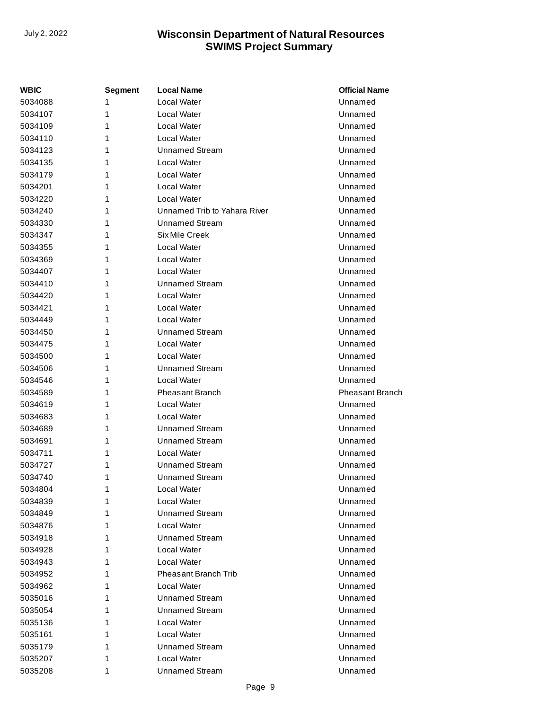| <b>WBIC</b> | <b>Segment</b> | <b>Local Name</b>            | <b>Official Name</b> |
|-------------|----------------|------------------------------|----------------------|
| 5034088     | 1              | Local Water                  | Unnamed              |
| 5034107     | 1              | Local Water                  | Unnamed              |
| 5034109     | 1              | Local Water                  | Unnamed              |
| 5034110     | 1              | Local Water                  | Unnamed              |
| 5034123     | 1              | <b>Unnamed Stream</b>        | Unnamed              |
| 5034135     | 1              | Local Water                  | Unnamed              |
| 5034179     | 1              | Local Water                  | Unnamed              |
| 5034201     | 1              | Local Water                  | Unnamed              |
| 5034220     | 1              | Local Water                  | Unnamed              |
| 5034240     | 1              | Unnamed Trib to Yahara River | Unnamed              |
| 5034330     | 1              | <b>Unnamed Stream</b>        | Unnamed              |
| 5034347     | 1              | Six Mile Creek               | Unnamed              |
| 5034355     | 1              | Local Water                  | Unnamed              |
| 5034369     | 1              | Local Water                  | Unnamed              |
| 5034407     | 1              | Local Water                  | Unnamed              |
| 5034410     | 1              | <b>Unnamed Stream</b>        | Unnamed              |
| 5034420     | 1              | Local Water                  | Unnamed              |
| 5034421     | 1              | Local Water                  | Unnamed              |
| 5034449     | 1              | Local Water                  | Unnamed              |
| 5034450     | 1              | <b>Unnamed Stream</b>        | Unnamed              |
| 5034475     | 1              | Local Water                  | Unnamed              |
| 5034500     | 1              | Local Water                  | Unnamed              |
| 5034506     | 1              | <b>Unnamed Stream</b>        | Unnamed              |
| 5034546     | 1              | Local Water                  | Unnamed              |
| 5034589     | 1              | <b>Pheasant Branch</b>       | Pheasant Branch      |
| 5034619     | 1              | Local Water                  | Unnamed              |
| 5034683     | 1              | Local Water                  | Unnamed              |
| 5034689     | 1              | <b>Unnamed Stream</b>        | Unnamed              |
| 5034691     | 1              | <b>Unnamed Stream</b>        | Unnamed              |
| 5034711     | 1              | Local Water                  | Unnamed              |
| 5034727     | 1              | <b>Unnamed Stream</b>        | Unnamed              |
| 5034740     | 1              | <b>Unnamed Stream</b>        | Unnamed              |
| 5034804     | 1              | Local Water                  | Unnamed              |
| 5034839     | 1              | Local Water                  | Unnamed              |
| 5034849     | 1              | <b>Unnamed Stream</b>        | Unnamed              |
| 5034876     | 1              | Local Water                  | Unnamed              |
| 5034918     | 1              | <b>Unnamed Stream</b>        | Unnamed              |
| 5034928     | 1              | Local Water                  | Unnamed              |
| 5034943     | 1              | Local Water                  | Unnamed              |
| 5034952     | 1              | <b>Pheasant Branch Trib</b>  | Unnamed              |
| 5034962     | 1              | Local Water                  | Unnamed              |
| 5035016     | 1              | <b>Unnamed Stream</b>        | Unnamed              |
| 5035054     | 1              | <b>Unnamed Stream</b>        | Unnamed              |
| 5035136     | 1              | Local Water                  | Unnamed              |
| 5035161     | 1              | Local Water                  | Unnamed              |
| 5035179     | 1              | <b>Unnamed Stream</b>        | Unnamed              |
| 5035207     | 1              | Local Water                  | Unnamed              |
| 5035208     | 1              | <b>Unnamed Stream</b>        | Unnamed              |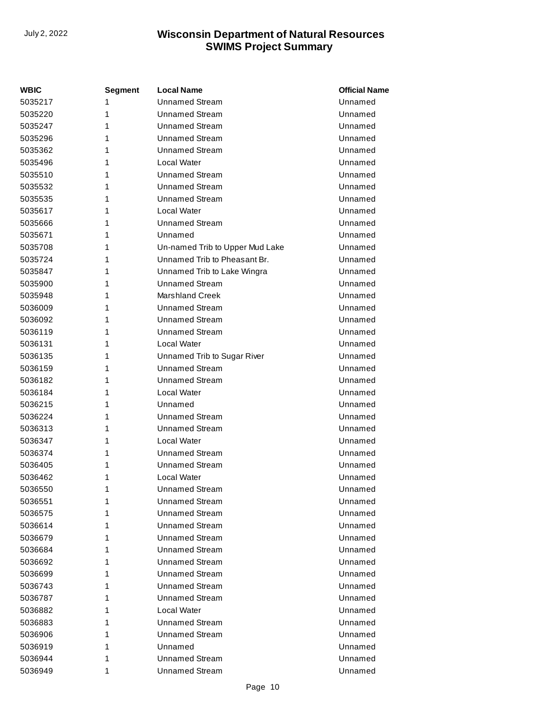| WBIC    | <b>Segment</b> | <b>Local Name</b>               | <b>Official Name</b> |
|---------|----------------|---------------------------------|----------------------|
| 5035217 | 1              | <b>Unnamed Stream</b>           | Unnamed              |
| 5035220 | 1              | <b>Unnamed Stream</b>           | Unnamed              |
| 5035247 | 1              | <b>Unnamed Stream</b>           | Unnamed              |
| 5035296 | 1              | <b>Unnamed Stream</b>           | Unnamed              |
| 5035362 | 1              | <b>Unnamed Stream</b>           | Unnamed              |
| 5035496 | 1              | Local Water                     | Unnamed              |
| 5035510 | 1              | <b>Unnamed Stream</b>           | Unnamed              |
| 5035532 | 1              | <b>Unnamed Stream</b>           | Unnamed              |
| 5035535 | 1              | <b>Unnamed Stream</b>           | Unnamed              |
| 5035617 | 1              | Local Water                     | Unnamed              |
| 5035666 | 1              | <b>Unnamed Stream</b>           | Unnamed              |
| 5035671 | 1              | Unnamed                         | Unnamed              |
| 5035708 | 1              | Un-named Trib to Upper Mud Lake | Unnamed              |
| 5035724 | 1              | Unnamed Trib to Pheasant Br.    | Unnamed              |
| 5035847 | 1              | Unnamed Trib to Lake Wingra     | Unnamed              |
| 5035900 | 1              | <b>Unnamed Stream</b>           | Unnamed              |
| 5035948 | 1              | <b>Marshland Creek</b>          | Unnamed              |
| 5036009 | 1              | <b>Unnamed Stream</b>           | Unnamed              |
| 5036092 | 1              | <b>Unnamed Stream</b>           | Unnamed              |
| 5036119 | 1              | <b>Unnamed Stream</b>           | Unnamed              |
| 5036131 | 1              | Local Water                     | Unnamed              |
| 5036135 | 1              | Unnamed Trib to Sugar River     | Unnamed              |
| 5036159 | 1              | <b>Unnamed Stream</b>           | Unnamed              |
| 5036182 | 1              | Unnamed Stream                  | Unnamed              |
| 5036184 | 1              | Local Water                     | Unnamed              |
| 5036215 | 1              | Unnamed                         | Unnamed              |
| 5036224 | 1              | <b>Unnamed Stream</b>           | Unnamed              |
| 5036313 | 1              | <b>Unnamed Stream</b>           | Unnamed              |
| 5036347 | 1              | Local Water                     | Unnamed              |
| 5036374 | 1              | <b>Unnamed Stream</b>           | Unnamed              |
| 5036405 | 1              | <b>Unnamed Stream</b>           | Unnamed              |
| 5036462 | 1              | Local Water                     | Unnamed              |
| 5036550 | 1              | <b>Unnamed Stream</b>           | Unnamed              |
| 5036551 | 1              | Unnamed Stream                  | Unnamed              |
| 5036575 | 1              | <b>Unnamed Stream</b>           | Unnamed              |
| 5036614 | 1              | Unnamed Stream                  | Unnamed              |
| 5036679 | 1              | Unnamed Stream                  | Unnamed              |
| 5036684 | 1              | Unnamed Stream                  | Unnamed              |
| 5036692 | 1              | <b>Unnamed Stream</b>           | Unnamed              |
| 5036699 | 1              | Unnamed Stream                  | Unnamed              |
| 5036743 | 1              | <b>Unnamed Stream</b>           | Unnamed              |
| 5036787 | 1              | <b>Unnamed Stream</b>           | Unnamed              |
| 5036882 | 1              | Local Water                     | Unnamed              |
| 5036883 | 1              | Unnamed Stream                  | Unnamed              |
| 5036906 | 1              | Unnamed Stream                  | Unnamed              |
| 5036919 | 1              | Unnamed                         | Unnamed              |
| 5036944 | 1              | Unnamed Stream                  | Unnamed              |
| 5036949 | 1              | <b>Unnamed Stream</b>           | Unnamed              |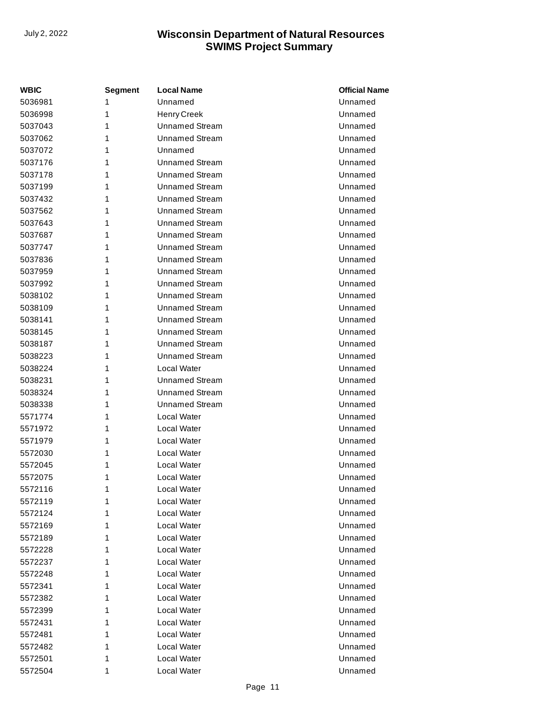| <b>WBIC</b> | Segment | Local Name            | <b>Official Name</b> |
|-------------|---------|-----------------------|----------------------|
| 5036981     | 1       | Unnamed               | Unnamed              |
| 5036998     | 1       | Henry Creek           | Unnamed              |
| 5037043     | 1       | <b>Unnamed Stream</b> | Unnamed              |
| 5037062     | 1       | <b>Unnamed Stream</b> | Unnamed              |
| 5037072     | 1       | Unnamed               | Unnamed              |
| 5037176     | 1       | Unnamed Stream        | Unnamed              |
| 5037178     | 1       | <b>Unnamed Stream</b> | Unnamed              |
| 5037199     | 1       | <b>Unnamed Stream</b> | Unnamed              |
| 5037432     | 1       | Unnamed Stream        | Unnamed              |
| 5037562     | 1       | <b>Unnamed Stream</b> | Unnamed              |
| 5037643     | 1       | <b>Unnamed Stream</b> | Unnamed              |
| 5037687     | 1       | <b>Unnamed Stream</b> | Unnamed              |
| 5037747     | 1       | Unnamed Stream        | Unnamed              |
| 5037836     | 1       | Unnamed Stream        | Unnamed              |
| 5037959     | 1       | <b>Unnamed Stream</b> | Unnamed              |
| 5037992     | 1       | <b>Unnamed Stream</b> | Unnamed              |
| 5038102     | 1       | Unnamed Stream        | Unnamed              |
| 5038109     | 1       | <b>Unnamed Stream</b> | Unnamed              |
| 5038141     | 1       | <b>Unnamed Stream</b> | Unnamed              |
| 5038145     | 1       | <b>Unnamed Stream</b> | Unnamed              |
| 5038187     | 1       | Unnamed Stream        | Unnamed              |
| 5038223     | 1       | Unnamed Stream        | Unnamed              |
| 5038224     | 1       | Local Water           | Unnamed              |
| 5038231     | 1       | <b>Unnamed Stream</b> | Unnamed              |
| 5038324     | 1       | <b>Unnamed Stream</b> | Unnamed              |
| 5038338     | 1       | <b>Unnamed Stream</b> | Unnamed              |
| 5571774     | 1       | Local Water           | Unnamed              |
| 5571972     | 1       | Local Water           | Unnamed              |
| 5571979     | 1       | Local Water           | Unnamed              |
| 5572030     | 1       | Local Water           | Unnamed              |
| 5572045     | 1       | Local Water           | Unnamed              |
| 5572075     | 1       | Local Water           | Unnamed              |
| 5572116     | 1       | Local Water           | Unnamed              |
| 5572119     | 1       | Local Water           | Unnamed              |
| 5572124     | 1       | Local Water           | Unnamed              |
| 5572169     | 1       | Local Water           | Unnamed              |
| 5572189     | 1       | Local Water           | Unnamed              |
| 5572228     | 1       | Local Water           | Unnamed              |
| 5572237     | 1       | Local Water           | Unnamed              |
| 5572248     | 1       | Local Water           | Unnamed              |
| 5572341     | 1       | Local Water           | Unnamed              |
| 5572382     | 1       | Local Water           | Unnamed              |
| 5572399     | 1       | Local Water           | Unnamed              |
| 5572431     | 1       | Local Water           | Unnamed              |
| 5572481     | 1       | Local Water           | Unnamed              |
| 5572482     | 1       | Local Water           | Unnamed              |
| 5572501     | 1       | Local Water           | Unnamed              |
| 5572504     | 1       | Local Water           | Unnamed              |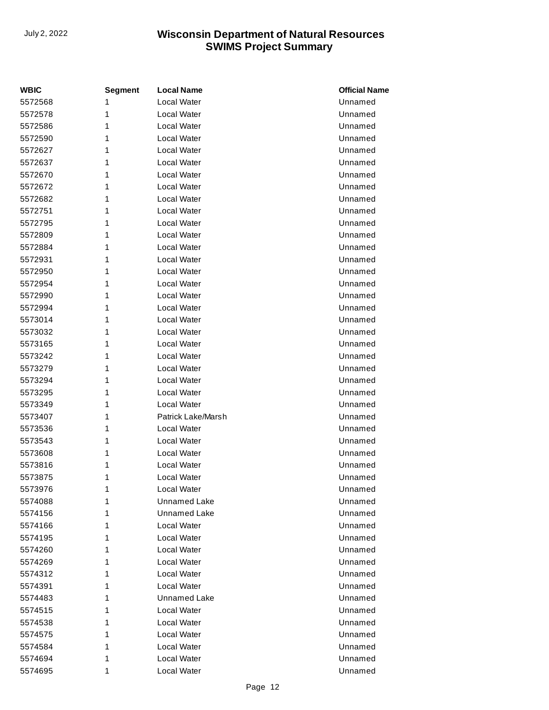| <b>WBIC</b> | <b>Segment</b> | <b>Local Name</b>   | <b>Official Name</b> |
|-------------|----------------|---------------------|----------------------|
| 5572568     | 1              | Local Water         | Unnamed              |
| 5572578     | 1              | Local Water         | Unnamed              |
| 5572586     | 1              | Local Water         | Unnamed              |
| 5572590     | 1              | Local Water         | Unnamed              |
| 5572627     | 1              | Local Water         | Unnamed              |
| 5572637     | 1              | Local Water         | Unnamed              |
| 5572670     | 1              | Local Water         | Unnamed              |
| 5572672     | 1              | Local Water         | Unnamed              |
| 5572682     | 1              | Local Water         | Unnamed              |
| 5572751     | 1              | Local Water         | Unnamed              |
| 5572795     | 1              | Local Water         | Unnamed              |
| 5572809     | 1              | Local Water         | Unnamed              |
| 5572884     | 1              | Local Water         | Unnamed              |
| 5572931     | 1              | Local Water         | Unnamed              |
| 5572950     | 1              | Local Water         | Unnamed              |
| 5572954     | 1              | Local Water         | Unnamed              |
| 5572990     | 1              | Local Water         | Unnamed              |
| 5572994     | 1              | Local Water         | Unnamed              |
| 5573014     | 1              | Local Water         | Unnamed              |
| 5573032     | 1              | Local Water         | Unnamed              |
| 5573165     | 1              | Local Water         | Unnamed              |
| 5573242     | 1              | Local Water         | Unnamed              |
| 5573279     | 1              | Local Water         | Unnamed              |
| 5573294     | 1              | Local Water         | Unnamed              |
| 5573295     | 1              | Local Water         | Unnamed              |
| 5573349     | 1              | Local Water         | Unnamed              |
| 5573407     | 1              | Patrick Lake/Marsh  | Unnamed              |
| 5573536     | 1              | Local Water         | Unnamed              |
| 5573543     | 1              | Local Water         | Unnamed              |
| 5573608     | 1              | Local Water         | Unnamed              |
| 5573816     | 1              | Local Water         | Unnamed              |
| 5573875     | 1              | Local Water         | Unnamed              |
| 5573976     | 1              | Local Water         | Unnamed              |
| 5574088     | 1              | <b>Unnamed Lake</b> | Unnamed              |
| 5574156     | 1              | <b>Unnamed Lake</b> | Unnamed              |
| 5574166     | 1              | Local Water         | Unnamed              |
| 5574195     | 1              | Local Water         | Unnamed              |
| 5574260     | 1              | Local Water         | Unnamed              |
| 5574269     | 1              | Local Water         | Unnamed              |
| 5574312     | 1              | Local Water         | Unnamed              |
| 5574391     | 1              | Local Water         | Unnamed              |
| 5574483     | 1              | <b>Unnamed Lake</b> | Unnamed              |
| 5574515     | 1              | Local Water         | Unnamed              |
| 5574538     | 1              | Local Water         | Unnamed              |
| 5574575     | 1              | Local Water         | Unnamed              |
| 5574584     | 1              | Local Water         | Unnamed              |
| 5574694     | 1              | Local Water         | Unnamed              |
| 5574695     | 1              | Local Water         | Unnamed              |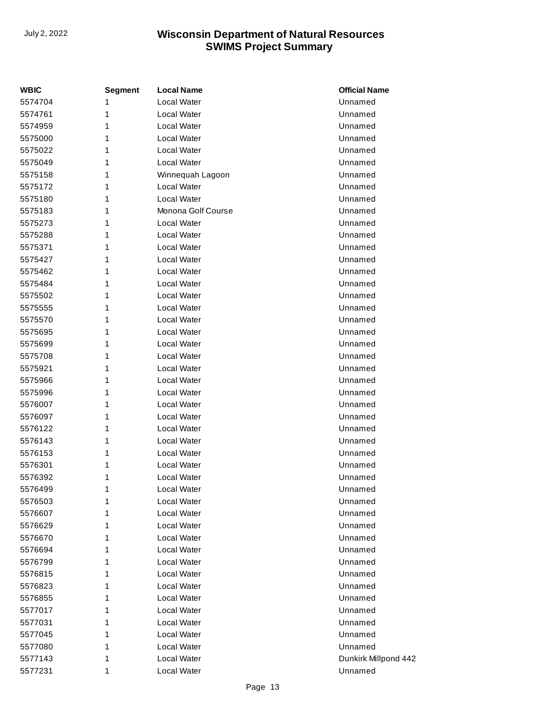| WBIC    | <b>Segment</b> | <b>Local Name</b>  | <b>Official Name</b> |
|---------|----------------|--------------------|----------------------|
| 5574704 | 1              | Local Water        | Unnamed              |
| 5574761 | 1              | Local Water        | Unnamed              |
| 5574959 | 1              | Local Water        | Unnamed              |
| 5575000 | 1              | Local Water        | Unnamed              |
| 5575022 | 1              | Local Water        | Unnamed              |
| 5575049 | 1              | Local Water        | Unnamed              |
| 5575158 | 1              | Winnequah Lagoon   | Unnamed              |
| 5575172 | 1              | Local Water        | Unnamed              |
| 5575180 | 1              | Local Water        | Unnamed              |
| 5575183 | 1              | Monona Golf Course | Unnamed              |
| 5575273 | 1              | Local Water        | Unnamed              |
| 5575288 | 1              | Local Water        | Unnamed              |
| 5575371 | 1              | Local Water        | Unnamed              |
| 5575427 | 1              | Local Water        | Unnamed              |
| 5575462 | 1              | Local Water        | Unnamed              |
| 5575484 | 1              | Local Water        | Unnamed              |
| 5575502 | 1              | Local Water        | Unnamed              |
| 5575555 | 1              | Local Water        | Unnamed              |
| 5575570 | 1              | Local Water        | Unnamed              |
| 5575695 | 1              | Local Water        | Unnamed              |
| 5575699 | 1              | Local Water        | Unnamed              |
| 5575708 | 1              | Local Water        | Unnamed              |
| 5575921 | 1              | Local Water        | Unnamed              |
| 5575966 | 1              | Local Water        | Unnamed              |
| 5575996 | 1              | Local Water        | Unnamed              |
| 5576007 | 1              | Local Water        | Unnamed              |
| 5576097 | 1              | Local Water        | Unnamed              |
| 5576122 | 1              | Local Water        | Unnamed              |
| 5576143 | 1              | Local Water        | Unnamed              |
| 5576153 | 1              | Local Water        | Unnamed              |
| 5576301 | 1              | Local Water        | Unnamed              |
| 5576392 | 1              | Local Water        | Unnamed              |
| 5576499 | 1              | Local Water        | Unnamed              |
| 5576503 | 1              | Local Water        | Unnamed              |
| 5576607 | 1              | Local Water        | Unnamed              |
| 5576629 | 1              | Local Water        | Unnamed              |
| 5576670 | 1              | Local Water        | Unnamed              |
| 5576694 | 1              | Local Water        | Unnamed              |
| 5576799 | 1              | Local Water        | Unnamed              |
| 5576815 | 1              | Local Water        | Unnamed              |
| 5576823 | 1              | Local Water        | Unnamed              |
| 5576855 | 1              | Local Water        | Unnamed              |
| 5577017 | 1              | Local Water        | Unnamed              |
| 5577031 | 1              | Local Water        | Unnamed              |
| 5577045 | 1              | Local Water        | Unnamed              |
| 5577080 | 1              | Local Water        | Unnamed              |
| 5577143 | 1              | Local Water        | Dunkirk Millpond 442 |
| 5577231 | 1              | Local Water        | Unnamed              |
|         |                |                    |                      |